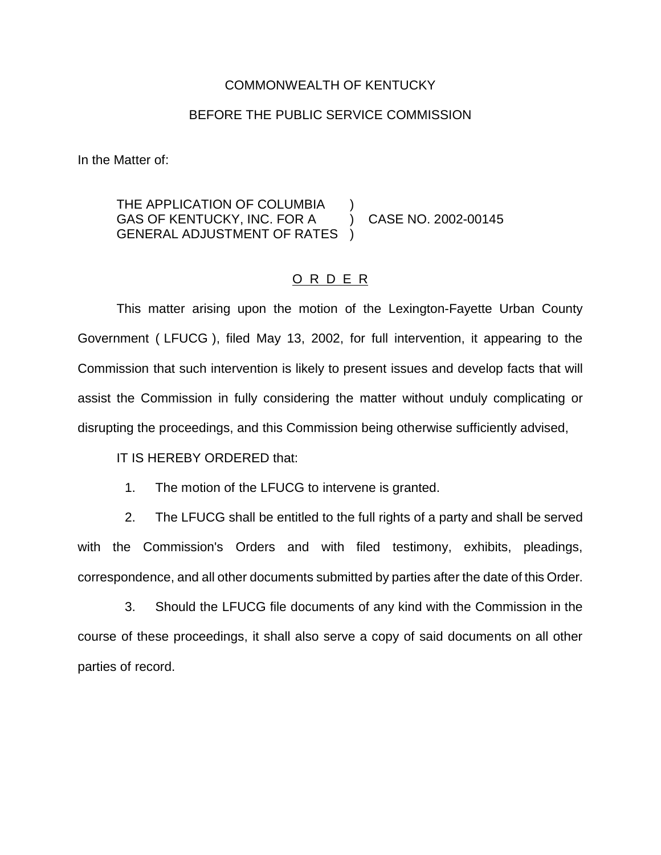## COMMONWEALTH OF KENTUCKY

## BEFORE THE PUBLIC SERVICE COMMISSION

In the Matter of:

## THE APPLICATION OF COLUMBIA GAS OF KENTUCKY, INC. FOR A ) CASE NO. 2002-00145 GENERAL ADJUSTMENT OF RATES )

## O R D E R

This matter arising upon the motion of the Lexington-Fayette Urban County Government ( LFUCG ), filed May 13, 2002, for full intervention, it appearing to the Commission that such intervention is likely to present issues and develop facts that will assist the Commission in fully considering the matter without unduly complicating or disrupting the proceedings, and this Commission being otherwise sufficiently advised,

IT IS HEREBY ORDERED that:

1. The motion of the LFUCG to intervene is granted.

2. The LFUCG shall be entitled to the full rights of a party and shall be served with the Commission's Orders and with filed testimony, exhibits, pleadings, correspondence, and all other documents submitted by parties after the date of this Order.

3. Should the LFUCG file documents of any kind with the Commission in the course of these proceedings, it shall also serve a copy of said documents on all other parties of record.